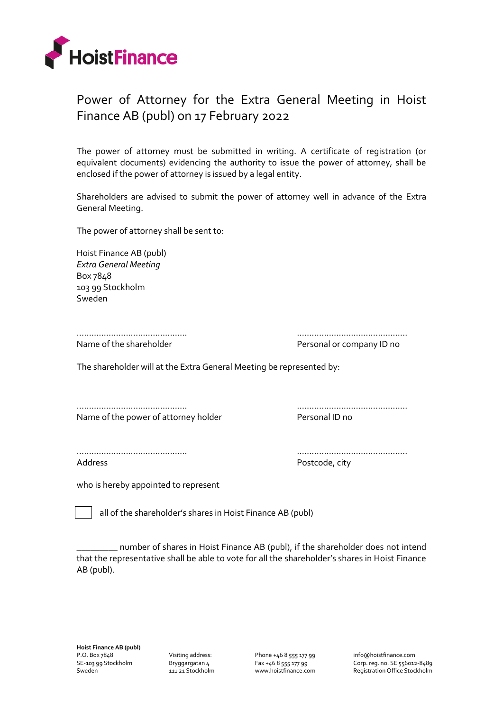

## Power of Attorney for the Extra General Meeting in Hoist Finance AB (publ) on 17 February 2022

The power of attorney must be submitted in writing. A certificate of registration (or equivalent documents) evidencing the authority to issue the power of attorney, shall be enclosed if the power of attorney is issued by a legal entity.

Shareholders are advised to submit the power of attorney well in advance of the Extra General Meeting.

The power of attorney shall be sent to:

Hoist Finance AB (publ) *Extra General Meeting* Box 7848 103 99 Stockholm Sweden

……………………………………… ……………………………………… Name of the shareholder **Personal or company ID** no

The shareholder will at the Extra General Meeting be represented by:

Name of the power of attorney holder Personal ID no

……………………………………… ………………………………………

……………………………………… ………………………………………

Address **Postcode, city** 

who is hereby appointed to represent

all of the shareholder's shares in Hoist Finance AB (publ)

\_\_\_\_\_\_\_\_\_ number of shares in Hoist Finance AB (publ), if the shareholder does not intend that the representative shall be able to vote for all the shareholder's shares in Hoist Finance AB (publ).

Visiting address: Bryggargatan 4 111 21 Stockholm Phone +46 8 555 177 99 Fax +46 8 555 177 99 www.hoistfinance.com info@hoistfinance.com Corp. reg. no. SE 556012-8489 Registration Office Stockholm